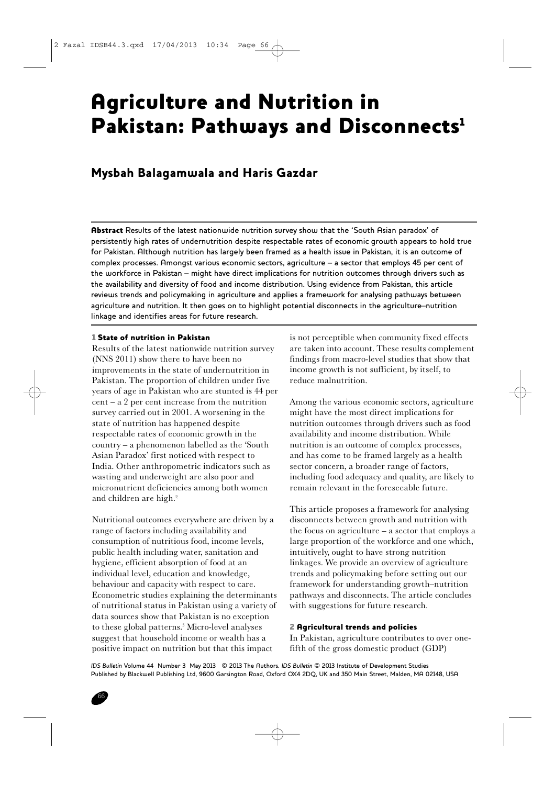# Agriculture and Nutrition in Pakistan: Pathways and Disconnects<sup>1</sup>

# Mysbah Balagamwala and Haris Gazdar

Abstract Results of the latest nationwide nutrition survey show that the 'South Asian paradox' of persistently high rates of undernutrition despite respectable rates of economic growth appears to hold true for Pakistan. Although nutrition has largely been framed as a health issue in Pakistan, it is an outcome of complex processes. Amongst various economic sectors, agriculture – a sector that employs 45 per cent of the workforce in Pakistan – might have direct implications for nutrition outcomes through drivers such as the availability and diversity of food and income distribution. Using evidence from Pakistan, this article reviews trends and policymaking in agriculture and applies a framework for analysing pathways between agriculture and nutrition. It then goes on to highlight potential disconnects in the agriculture–nutrition linkage and identifies areas for future research.

# 1 State of nutrition in Pakistan

Results of the latest nationwide nutrition survey (NNS 2011) show there to have been no improvements in the state of undernutrition in Pakistan. The proportion of children under five years of age in Pakistan who are stunted is 44 per cent – a 2 per cent increase from the nutrition survey carried out in 2001. A worsening in the state of nutrition has happened despite respectable rates of economic growth in the country – a phenomenon labelled as the 'South Asian Paradox' first noticed with respect to India. Other anthropometric indicators such as wasting and underweight are also poor and micronutrient deficiencies among both women and children are high.<sup>2</sup>

Nutritional outcomes everywhere are driven by a range of factors including availability and consumption of nutritious food, income levels, public health including water, sanitation and hygiene, efficient absorption of food at an individual level, education and knowledge, behaviour and capacity with respect to care. Econometric studies explaining the determinants of nutritional status in Pakistan using a variety of data sources show that Pakistan is no exception to these global patterns.3 Micro-level analyses suggest that household income or wealth has a positive impact on nutrition but that this impact

is not perceptible when community fixed effects are taken into account. These results complement findings from macro-level studies that show that income growth is not sufficient, by itself, to reduce malnutrition.

Among the various economic sectors, agriculture might have the most direct implications for nutrition outcomes through drivers such as food availability and income distribution. While nutrition is an outcome of complex processes, and has come to be framed largely as a health sector concern, a broader range of factors, including food adequacy and quality, are likely to remain relevant in the foreseeable future.

This article proposes a framework for analysing disconnects between growth and nutrition with the focus on agriculture – a sector that employs a large proportion of the workforce and one which, intuitively, ought to have strong nutrition linkages. We provide an overview of agriculture trends and policymaking before setting out our framework for understanding growth–nutrition pathways and disconnects. The article concludes with suggestions for future research.

# 2 Agricultural trends and policies

In Pakistan, agriculture contributes to over onefifth of the gross domestic product (GDP)

*IDS Bulletin* Volume 44 Number 3 May 2013 © 2013 The Authors. *IDS Bulletin* © 2013 Institute of Development Studies Published by Blackwell Publishing Ltd, 9600 Garsington Road, Oxford OX4 2DQ, UK and 350 Main Street, Malden, MA 02148, USA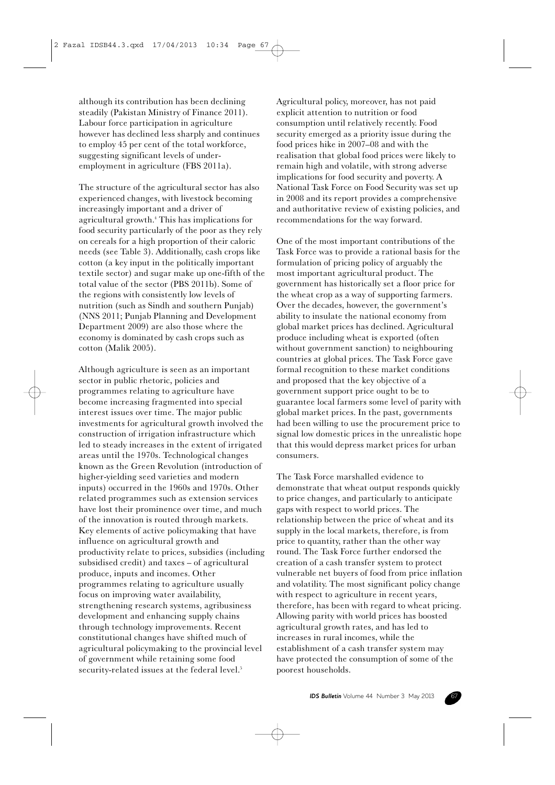although its contribution has been declining steadily (Pakistan Ministry of Finance 2011). Labour force participation in agriculture however has declined less sharply and continues to employ 45 per cent of the total workforce, suggesting significant levels of underemployment in agriculture (FBS 2011a).

The structure of the agricultural sector has also experienced changes, with livestock becoming increasingly important and a driver of agricultural growth.4 This has implications for food security particularly of the poor as they rely on cereals for a high proportion of their caloric needs (see Table 3). Additionally, cash crops like cotton (a key input in the politically important textile sector) and sugar make up one-fifth of the total value of the sector (PBS 2011b). Some of the regions with consistently low levels of nutrition (such as Sindh and southern Punjab) (NNS 2011; Punjab Planning and Development Department 2009) are also those where the economy is dominated by cash crops such as cotton (Malik 2005).

Although agriculture is seen as an important sector in public rhetoric, policies and programmes relating to agriculture have become increasing fragmented into special interest issues over time. The major public investments for agricultural growth involved the construction of irrigation infrastructure which led to steady increases in the extent of irrigated areas until the 1970s. Technological changes known as the Green Revolution (introduction of higher-yielding seed varieties and modern inputs) occurred in the 1960s and 1970s. Other related programmes such as extension services have lost their prominence over time, and much of the innovation is routed through markets. Key elements of active policymaking that have influence on agricultural growth and productivity relate to prices, subsidies (including subsidised credit) and taxes – of agricultural produce, inputs and incomes. Other programmes relating to agriculture usually focus on improving water availability, strengthening research systems, agribusiness development and enhancing supply chains through technology improvements. Recent constitutional changes have shifted much of agricultural policymaking to the provincial level of government while retaining some food security-related issues at the federal level.<sup>5</sup>

Agricultural policy, moreover, has not paid explicit attention to nutrition or food consumption until relatively recently. Food security emerged as a priority issue during the food prices hike in 2007–08 and with the realisation that global food prices were likely to remain high and volatile, with strong adverse implications for food security and poverty. A National Task Force on Food Security was set up in 2008 and its report provides a comprehensive and authoritative review of existing policies, and recommendations for the way forward.

One of the most important contributions of the Task Force was to provide a rational basis for the formulation of pricing policy of arguably the most important agricultural product. The government has historically set a floor price for the wheat crop as a way of supporting farmers. Over the decades, however, the government's ability to insulate the national economy from global market prices has declined. Agricultural produce including wheat is exported (often without government sanction) to neighbouring countries at global prices. The Task Force gave formal recognition to these market conditions and proposed that the key objective of a government support price ought to be to guarantee local farmers some level of parity with global market prices. In the past, governments had been willing to use the procurement price to signal low domestic prices in the unrealistic hope that this would depress market prices for urban consumers.

The Task Force marshalled evidence to demonstrate that wheat output responds quickly to price changes, and particularly to anticipate gaps with respect to world prices. The relationship between the price of wheat and its supply in the local markets, therefore, is from price to quantity, rather than the other way round. The Task Force further endorsed the creation of a cash transfer system to protect vulnerable net buyers of food from price inflation and volatility. The most significant policy change with respect to agriculture in recent years, therefore, has been with regard to wheat pricing. Allowing parity with world prices has boosted agricultural growth rates, and has led to increases in rural incomes, while the establishment of a cash transfer system may have protected the consumption of some of the poorest households.

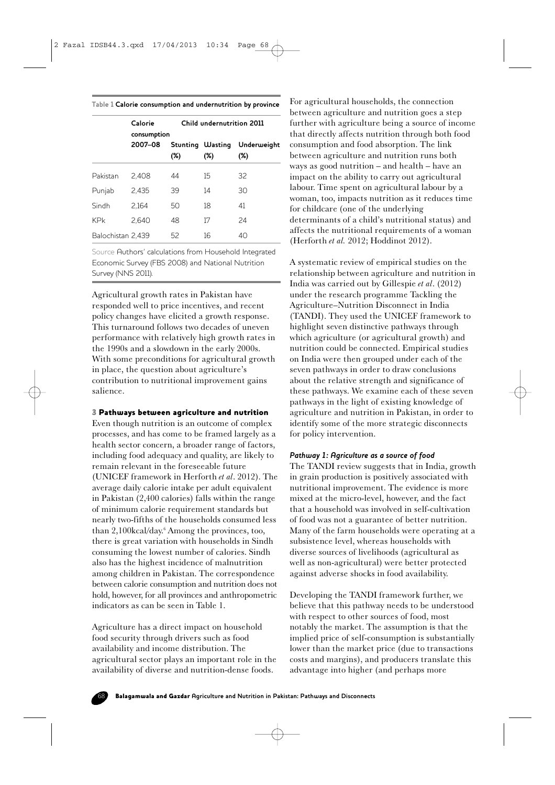#### **Table 1 Calorie consumption and undernutrition by province**

|                   | Calorie<br>consumption | Child undernutrition 2011 |                            |                       |
|-------------------|------------------------|---------------------------|----------------------------|-----------------------|
|                   | 2007-08                | $(\%)$                    | Stunting Wasting<br>$(\%)$ | Underweight<br>$(\%)$ |
| Pakistan          | 2.408                  | 44                        | 15                         | 32                    |
| Punjab            | 2.435                  | 39                        | 14                         | 30                    |
| Sindh             | 2.164                  | 50                        | 18                         | 41                    |
| <b>KPk</b>        | 2.640                  | 48                        | 17                         | 24                    |
| Balochistan 2,439 |                        | 52                        | 16                         | 40                    |

Source Authors' calculations from Household Integrated Economic Survey (FBS 2008) and National Nutrition Survey (NNS 2011).

Agricultural growth rates in Pakistan have responded well to price incentives, and recent policy changes have elicited a growth response. This turnaround follows two decades of uneven performance with relatively high growth rates in the 1990s and a slowdown in the early 2000s. With some preconditions for agricultural growth in place, the question about agriculture's contribution to nutritional improvement gains salience.

#### 3 Pathways between agriculture and nutrition

Even though nutrition is an outcome of complex processes, and has come to be framed largely as a health sector concern, a broader range of factors, including food adequacy and quality, are likely to remain relevant in the foreseeable future (UNICEF framework in Herforth *et al*. 2012). The average daily calorie intake per adult equivalent in Pakistan (2,400 calories) falls within the range of minimum calorie requirement standards but nearly two-fifths of the households consumed less than 2,100kcal/day.6 Among the provinces, too, there is great variation with households in Sindh consuming the lowest number of calories. Sindh also has the highest incidence of malnutrition among children in Pakistan. The correspondence between calorie consumption and nutrition does not hold, however, for all provinces and anthropometric indicators as can be seen in Table 1.

Agriculture has a direct impact on household food security through drivers such as food availability and income distribution. The agricultural sector plays an important role in the availability of diverse and nutrition-dense foods.

For agricultural households, the connection between agriculture and nutrition goes a step further with agriculture being a source of income that directly affects nutrition through both food consumption and food absorption. The link between agriculture and nutrition runs both ways as good nutrition – and health – have an impact on the ability to carry out agricultural labour. Time spent on agricultural labour by a woman, too, impacts nutrition as it reduces time for childcare (one of the underlying determinants of a child's nutritional status) and affects the nutritional requirements of a woman (Herforth *et al.* 2012; Hoddinot 2012).

A systematic review of empirical studies on the relationship between agriculture and nutrition in India was carried out by Gillespie *et al*. (2012) under the research programme Tackling the Agriculture–Nutrition Disconnect in India (TANDI). They used the UNICEF framework to highlight seven distinctive pathways through which agriculture (or agricultural growth) and nutrition could be connected. Empirical studies on India were then grouped under each of the seven pathways in order to draw conclusions about the relative strength and significance of these pathways. We examine each of these seven pathways in the light of existing knowledge of agriculture and nutrition in Pakistan, in order to identify some of the more strategic disconnects for policy intervention.

#### *Pathway 1: Agriculture as a source of food*

The TANDI review suggests that in India, growth in grain production is positively associated with nutritional improvement. The evidence is more mixed at the micro-level, however, and the fact that a household was involved in self-cultivation of food was not a guarantee of better nutrition. Many of the farm households were operating at a subsistence level, whereas households with diverse sources of livelihoods (agricultural as well as non-agricultural) were better protected against adverse shocks in food availability.

Developing the TANDI framework further, we believe that this pathway needs to be understood with respect to other sources of food, most notably the market. The assumption is that the implied price of self-consumption is substantially lower than the market price (due to transactions costs and margins), and producers translate this advantage into higher (and perhaps more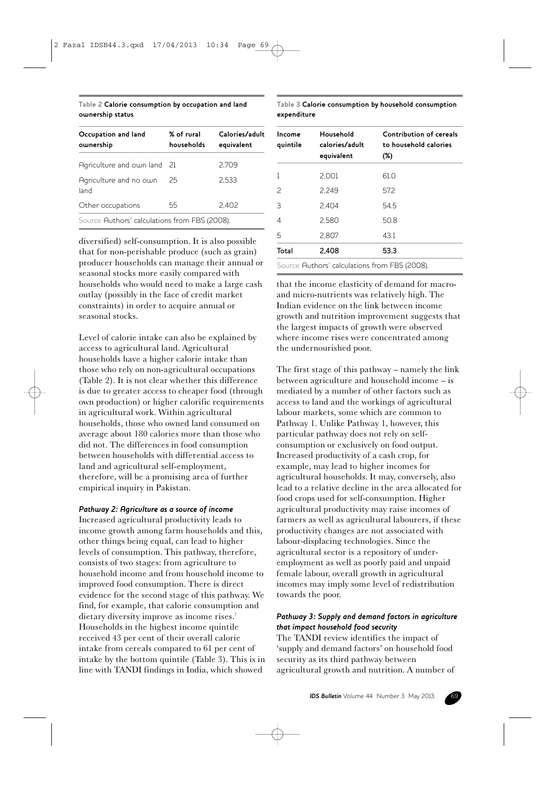# **Table 2 Calorie consumption by occupation and land ownership status**

| Occupation and land<br>ownership              | % of rural<br>households | Calories/adult<br>equivalent |  |  |
|-----------------------------------------------|--------------------------|------------------------------|--|--|
| Agriculture and own land 21                   |                          | 2.709                        |  |  |
| Agriculture and no own<br>land                | 25                       | 2.533                        |  |  |
| Other occupations                             | 55                       | 2.402                        |  |  |
| Source Authors' calculations from FBS (2008). |                          |                              |  |  |

diversified) self-consumption. It is also possible that for non-perishable produce (such as grain) producer households can manage their annual or seasonal stocks more easily compared with households who would need to make a large cash outlay (possibly in the face of credit market constraints) in order to acquire annual or seasonal stocks.

Level of calorie intake can also be explained by access to agricultural land. Agricultural households have a higher calorie intake than those who rely on non-agricultural occupations (Table 2). It is not clear whether this difference is due to greater access to cheaper food (through own production) or higher calorific requirements in agricultural work. Within agricultural households, those who owned land consumed on average about 180 calories more than those who did not. The differences in food consumption between households with differential access to land and agricultural self-employment, therefore, will be a promising area of further empirical inquiry in Pakistan.

## *Pathway 2: Agriculture as a source of income*

Increased agricultural productivity leads to income growth among farm households and this, other things being equal, can lead to higher levels of consumption. This pathway, therefore, consists of two stages: from agriculture to household income and from household income to improved food consumption. There is direct evidence for the second stage of this pathway. We find, for example, that calorie consumption and dietary diversity improve as income rises.<sup>7</sup> Households in the highest income quintile received 43 per cent of their overall calorie intake from cereals compared to 61 per cent of intake by the bottom quintile (Table 3). This is in line with TANDI findings in India, which showed

**Table 3 Calorie consumption by household consumption expenditure**

| Income<br>quintile | Household<br>calories/adult<br>equivalent     | Contribution of cereals<br>to household calories<br>(%) |
|--------------------|-----------------------------------------------|---------------------------------------------------------|
|                    | 2,001                                         | 61.0                                                    |
| $\mathcal{P}$      | 2,249                                         | 57.2                                                    |
| 3                  | 2.404                                         | 54.5                                                    |
| 4                  | 2.580                                         | 50.8                                                    |
| 5                  | 2.807                                         | 43.1                                                    |
| Total              | 2,408                                         | 53.3                                                    |
|                    | Source Authors' calculations from FBS (2008). |                                                         |

that the income elasticity of demand for macroand micro-nutrients was relatively high. The Indian evidence on the link between income growth and nutrition improvement suggests that the largest impacts of growth were observed where income rises were concentrated among the undernourished poor.

The first stage of this pathway – namely the link between agriculture and household income – is mediated by a number of other factors such as access to land and the workings of agricultural labour markets, some which are common to Pathway 1. Unlike Pathway 1, however, this particular pathway does not rely on selfconsumption or exclusively on food output. Increased productivity of a cash crop, for example, may lead to higher incomes for agricultural households. It may, conversely, also lead to a relative decline in the area allocated for food crops used for self-consumption. Higher agricultural productivity may raise incomes of farmers as well as agricultural labourers, if these productivity changes are not associated with labour-displacing technologies. Since the agricultural sector is a repository of underemployment as well as poorly paid and unpaid female labour, overall growth in agricultural incomes may imply some level of redistribution towards the poor.

# *Pathway 3: Supply and demand factors in agriculture that impact household food security*

The TANDI review identifies the impact of 'supply and demand factors' on household food security as its third pathway between agricultural growth and nutrition. A number of

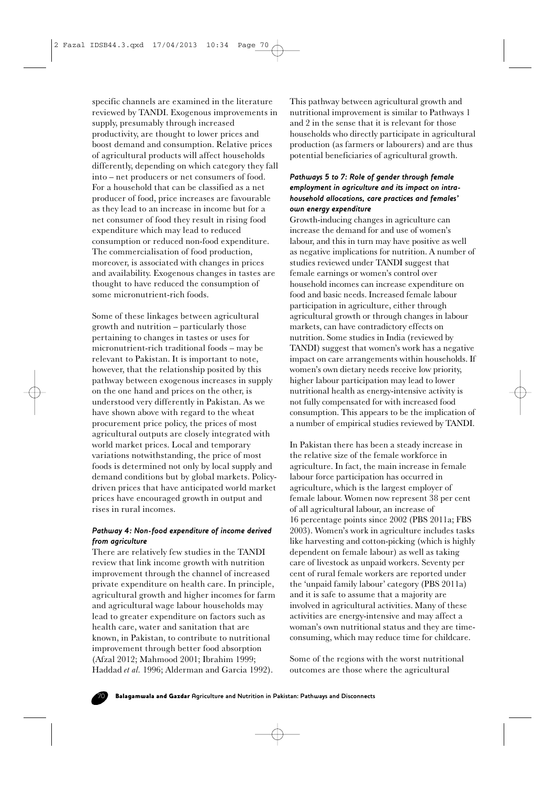specific channels are examined in the literature reviewed by TANDI. Exogenous improvements in supply, presumably through increased productivity, are thought to lower prices and boost demand and consumption. Relative prices of agricultural products will affect households differently, depending on which category they fall into – net producers or net consumers of food. For a household that can be classified as a net producer of food, price increases are favourable as they lead to an increase in income but for a net consumer of food they result in rising food expenditure which may lead to reduced consumption or reduced non-food expenditure. The commercialisation of food production, moreover, is associated with changes in prices and availability. Exogenous changes in tastes are thought to have reduced the consumption of some micronutrient-rich foods.

Some of these linkages between agricultural growth and nutrition – particularly those pertaining to changes in tastes or uses for micronutrient-rich traditional foods – may be relevant to Pakistan. It is important to note, however, that the relationship posited by this pathway between exogenous increases in supply on the one hand and prices on the other, is understood very differently in Pakistan. As we have shown above with regard to the wheat procurement price policy, the prices of most agricultural outputs are closely integrated with world market prices. Local and temporary variations notwithstanding, the price of most foods is determined not only by local supply and demand conditions but by global markets. Policydriven prices that have anticipated world market prices have encouraged growth in output and rises in rural incomes.

# *Pathway 4: Non-food expenditure of income derived from agriculture*

There are relatively few studies in the TANDI review that link income growth with nutrition improvement through the channel of increased private expenditure on health care. In principle, agricultural growth and higher incomes for farm and agricultural wage labour households may lead to greater expenditure on factors such as health care, water and sanitation that are known, in Pakistan, to contribute to nutritional improvement through better food absorption (Afzal 2012; Mahmood 2001; Ibrahim 1999; Haddad *et al.* 1996; Alderman and Garcia 1992).

This pathway between agricultural growth and nutritional improvement is similar to Pathways 1 and 2 in the sense that it is relevant for those households who directly participate in agricultural production (as farmers or labourers) and are thus potential beneficiaries of agricultural growth.

# *Pathways 5 to 7: Role of gender through female employment in agriculture and its impact on intrahousehold allocations, care practices and females' own energy expenditure*

Growth-inducing changes in agriculture can increase the demand for and use of women's labour, and this in turn may have positive as well as negative implications for nutrition. A number of studies reviewed under TANDI suggest that female earnings or women's control over household incomes can increase expenditure on food and basic needs. Increased female labour participation in agriculture, either through agricultural growth or through changes in labour markets, can have contradictory effects on nutrition. Some studies in India (reviewed by TANDI) suggest that women's work has a negative impact on care arrangements within households. If women's own dietary needs receive low priority, higher labour participation may lead to lower nutritional health as energy-intensive activity is not fully compensated for with increased food consumption. This appears to be the implication of a number of empirical studies reviewed by TANDI.

In Pakistan there has been a steady increase in the relative size of the female workforce in agriculture. In fact, the main increase in female labour force participation has occurred in agriculture, which is the largest employer of female labour. Women now represent 38 per cent of all agricultural labour, an increase of 16 percentage points since 2002 (PBS 2011a; FBS 2003). Women's work in agriculture includes tasks like harvesting and cotton-picking (which is highly dependent on female labour) as well as taking care of livestock as unpaid workers. Seventy per cent of rural female workers are reported under the 'unpaid family labour' category (PBS 2011a) and it is safe to assume that a majority are involved in agricultural activities. Many of these activities are energy-intensive and may affect a woman's own nutritional status and they are timeconsuming, which may reduce time for childcare.

Some of the regions with the worst nutritional outcomes are those where the agricultural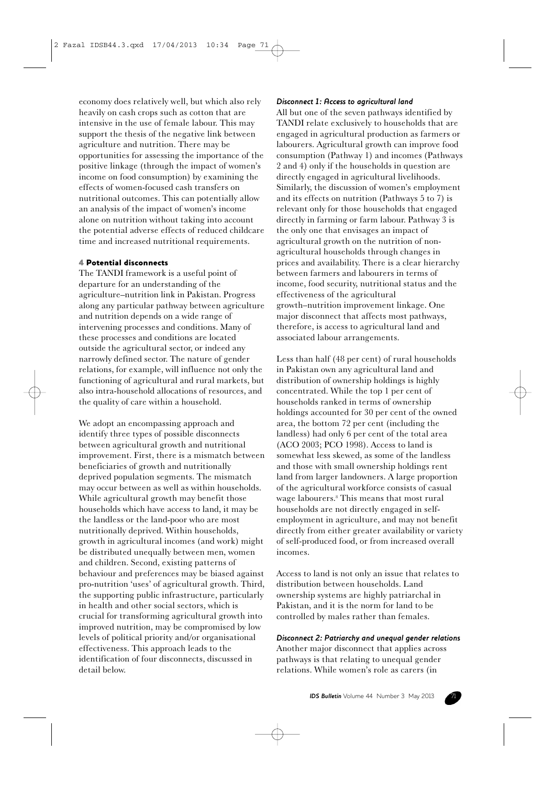economy does relatively well, but which also rely heavily on cash crops such as cotton that are intensive in the use of female labour. This may support the thesis of the negative link between agriculture and nutrition. There may be opportunities for assessing the importance of the positive linkage (through the impact of women's income on food consumption) by examining the effects of women-focused cash transfers on nutritional outcomes. This can potentially allow an analysis of the impact of women's income alone on nutrition without taking into account the potential adverse effects of reduced childcare time and increased nutritional requirements.

## 4 Potential disconnects

The TANDI framework is a useful point of departure for an understanding of the agriculture–nutrition link in Pakistan. Progress along any particular pathway between agriculture and nutrition depends on a wide range of intervening processes and conditions. Many of these processes and conditions are located outside the agricultural sector, or indeed any narrowly defined sector. The nature of gender relations, for example, will influence not only the functioning of agricultural and rural markets, but also intra-household allocations of resources, and the quality of care within a household.

We adopt an encompassing approach and identify three types of possible disconnects between agricultural growth and nutritional improvement. First, there is a mismatch between beneficiaries of growth and nutritionally deprived population segments. The mismatch may occur between as well as within households. While agricultural growth may benefit those households which have access to land, it may be the landless or the land-poor who are most nutritionally deprived. Within households, growth in agricultural incomes (and work) might be distributed unequally between men, women and children. Second, existing patterns of behaviour and preferences may be biased against pro-nutrition 'uses' of agricultural growth. Third, the supporting public infrastructure, particularly in health and other social sectors, which is crucial for transforming agricultural growth into improved nutrition, may be compromised by low levels of political priority and/or organisational effectiveness. This approach leads to the identification of four disconnects, discussed in detail below.

#### *Disconnect 1: Access to agricultural land*

All but one of the seven pathways identified by TANDI relate exclusively to households that are engaged in agricultural production as farmers or labourers. Agricultural growth can improve food consumption (Pathway 1) and incomes (Pathways 2 and 4) only if the households in question are directly engaged in agricultural livelihoods. Similarly, the discussion of women's employment and its effects on nutrition (Pathways 5 to 7) is relevant only for those households that engaged directly in farming or farm labour. Pathway 3 is the only one that envisages an impact of agricultural growth on the nutrition of nonagricultural households through changes in prices and availability. There is a clear hierarchy between farmers and labourers in terms of income, food security, nutritional status and the effectiveness of the agricultural growth–nutrition improvement linkage. One major disconnect that affects most pathways, therefore, is access to agricultural land and associated labour arrangements.

Less than half (48 per cent) of rural households in Pakistan own any agricultural land and distribution of ownership holdings is highly concentrated. While the top 1 per cent of households ranked in terms of ownership holdings accounted for 30 per cent of the owned area, the bottom 72 per cent (including the landless) had only 6 per cent of the total area (ACO 2003; PCO 1998). Access to land is somewhat less skewed, as some of the landless and those with small ownership holdings rent land from larger landowners. A large proportion of the agricultural workforce consists of casual wage labourers.8 This means that most rural households are not directly engaged in selfemployment in agriculture, and may not benefit directly from either greater availability or variety of self-produced food, or from increased overall incomes.

Access to land is not only an issue that relates to distribution between households. Land ownership systems are highly patriarchal in Pakistan, and it is the norm for land to be controlled by males rather than females.

# *Disconnect 2: Patriarchy and unequal gender relations*

Another major disconnect that applies across pathways is that relating to unequal gender relations. While women's role as carers (in

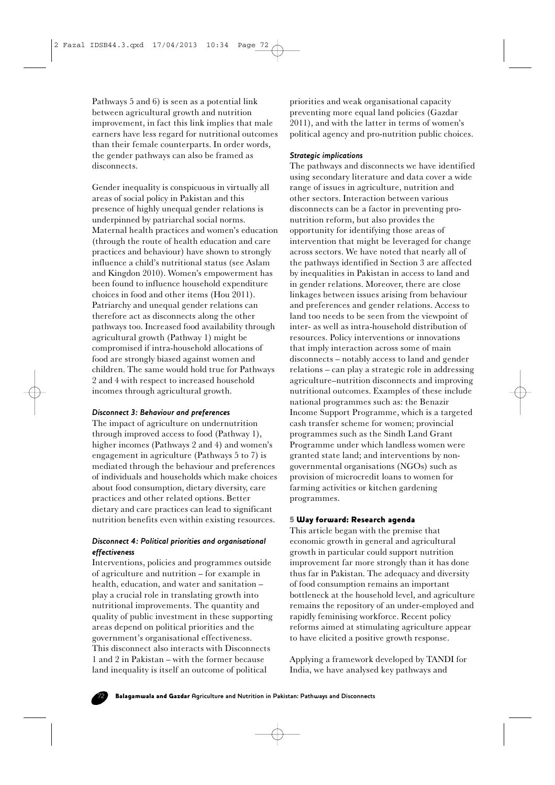Pathways 5 and 6) is seen as a potential link between agricultural growth and nutrition improvement, in fact this link implies that male earners have less regard for nutritional outcomes than their female counterparts. In order words, the gender pathways can also be framed as disconnects.

Gender inequality is conspicuous in virtually all areas of social policy in Pakistan and this presence of highly unequal gender relations is underpinned by patriarchal social norms. Maternal health practices and women's education (through the route of health education and care practices and behaviour) have shown to strongly influence a child's nutritional status (see Aslam and Kingdon 2010). Women's empowerment has been found to influence household expenditure choices in food and other items (Hou 2011). Patriarchy and unequal gender relations can therefore act as disconnects along the other pathways too. Increased food availability through agricultural growth (Pathway 1) might be compromised if intra-household allocations of food are strongly biased against women and children. The same would hold true for Pathways 2 and 4 with respect to increased household incomes through agricultural growth.

## *Disconnect 3: Behaviour and preferences*

The impact of agriculture on undernutrition through improved access to food (Pathway 1), higher incomes (Pathways 2 and 4) and women's engagement in agriculture (Pathways 5 to 7) is mediated through the behaviour and preferences of individuals and households which make choices about food consumption, dietary diversity, care practices and other related options. Better dietary and care practices can lead to significant nutrition benefits even within existing resources.

## *Disconnect 4: Political priorities and organisational effectiveness*

Interventions, policies and programmes outside of agriculture and nutrition – for example in health, education, and water and sanitation – play a crucial role in translating growth into nutritional improvements. The quantity and quality of public investment in these supporting areas depend on political priorities and the government's organisational effectiveness. This disconnect also interacts with Disconnects 1 and 2 in Pakistan – with the former because land inequality is itself an outcome of political

priorities and weak organisational capacity preventing more equal land policies (Gazdar 2011), and with the latter in terms of women's political agency and pro-nutrition public choices.

# *Strategic implications*

The pathways and disconnects we have identified using secondary literature and data cover a wide range of issues in agriculture, nutrition and other sectors. Interaction between various disconnects can be a factor in preventing pronutrition reform, but also provides the opportunity for identifying those areas of intervention that might be leveraged for change across sectors. We have noted that nearly all of the pathways identified in Section 3 are affected by inequalities in Pakistan in access to land and in gender relations. Moreover, there are close linkages between issues arising from behaviour and preferences and gender relations. Access to land too needs to be seen from the viewpoint of inter- as well as intra-household distribution of resources. Policy interventions or innovations that imply interaction across some of main disconnects – notably access to land and gender relations – can play a strategic role in addressing agriculture–nutrition disconnects and improving nutritional outcomes. Examples of these include national programmes such as: the Benazir Income Support Programme, which is a targeted cash transfer scheme for women; provincial programmes such as the Sindh Land Grant Programme under which landless women were granted state land; and interventions by nongovernmental organisations (NGOs) such as provision of microcredit loans to women for farming activities or kitchen gardening programmes.

## 5 Way forward: Research agenda

This article began with the premise that economic growth in general and agricultural growth in particular could support nutrition improvement far more strongly than it has done thus far in Pakistan. The adequacy and diversity of food consumption remains an important bottleneck at the household level, and agriculture remains the repository of an under-employed and rapidly feminising workforce. Recent policy reforms aimed at stimulating agriculture appear to have elicited a positive growth response.

Applying a framework developed by TANDI for India, we have analysed key pathways and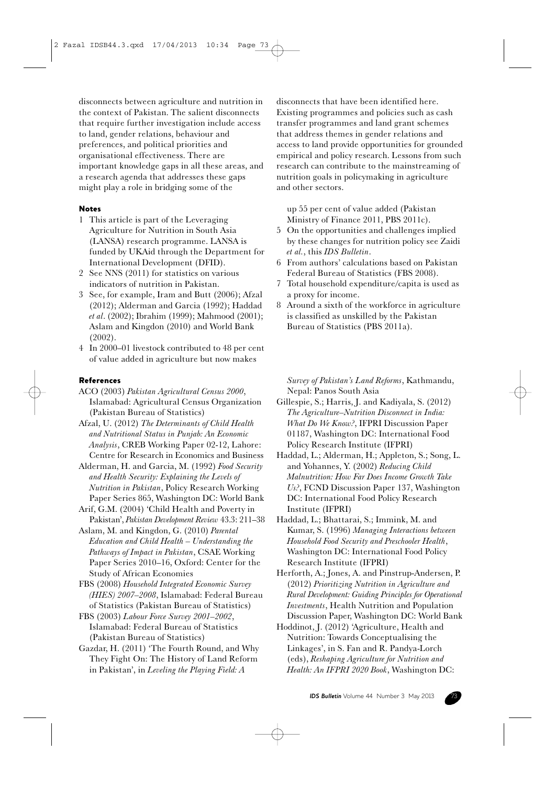disconnects between agriculture and nutrition in the context of Pakistan. The salient disconnects that require further investigation include access to land, gender relations, behaviour and preferences, and political priorities and organisational effectiveness. There are important knowledge gaps in all these areas, and a research agenda that addresses these gaps might play a role in bridging some of the

# Notes

- 1 This article is part of the Leveraging Agriculture for Nutrition in South Asia (LANSA) research programme. LANSA is funded by UKAid through the Department for International Development (DFID).
- 2 See NNS (2011) for statistics on various indicators of nutrition in Pakistan.
- 3 See, for example, Iram and Butt (2006); Afzal (2012); Alderman and Garcia (1992); Haddad *et al*. (2002); Ibrahim (1999); Mahmood (2001); Aslam and Kingdon (2010) and World Bank (2002).
- 4 In 2000–01 livestock contributed to 48 per cent of value added in agriculture but now makes

## References

ACO (2003) *Pakistan Agricultural Census 2000*, Islamabad: Agricultural Census Organization (Pakistan Bureau of Statistics)

- Afzal, U. (2012) *The Determinants of Child Health and Nutritional Status in Punjab: An Economic Analysis*, CREB Working Paper 02-12, Lahore: Centre for Research in Economics and Business
- Alderman, H. and Garcia, M. (1992) *Food Security and Health Security: Explaining the Levels of Nutrition in Pakistan*, Policy Research Working Paper Series 865, Washington DC: World Bank
- Arif, G.M. (2004) 'Child Health and Poverty in Pakistan', *Pakistan Development Review* 43.3: 211–38
- Aslam, M. and Kingdon, G. (2010) *Parental Education and Child Health – Understanding the Pathways of Impact in Pakistan*, CSAE Working Paper Series 2010–16, Oxford: Center for the Study of African Economies
- FBS (2008) *Household Integrated Economic Survey (HIES) 2007–2008*, Islamabad: Federal Bureau of Statistics (Pakistan Bureau of Statistics)
- FBS (2003) *Labour Force Survey 2001–2002*, Islamabad: Federal Bureau of Statistics (Pakistan Bureau of Statistics)
- Gazdar, H. (2011) 'The Fourth Round, and Why They Fight On: The History of Land Reform in Pakistan', in *Leveling the Playing Field: A*

disconnects that have been identified here. Existing programmes and policies such as cash transfer programmes and land grant schemes that address themes in gender relations and access to land provide opportunities for grounded empirical and policy research. Lessons from such research can contribute to the mainstreaming of nutrition goals in policymaking in agriculture and other sectors.

up 55 per cent of value added (Pakistan Ministry of Finance 2011, PBS 2011c).

- 5 On the opportunities and challenges implied by these changes for nutrition policy see Zaidi *et al.*, this *IDS Bulletin*.
- 6 From authors' calculations based on Pakistan Federal Bureau of Statistics (FBS 2008).
- 7 Total household expenditure/capita is used as a proxy for income.
- 8 Around a sixth of the workforce in agriculture is classified as unskilled by the Pakistan Bureau of Statistics (PBS 2011a).

*Survey of Pakistan's Land Reforms*, Kathmandu, Nepal: Panos South Asia

- Gillespie, S.; Harris, J. and Kadiyala, S. (2012) *The Agriculture–Nutrition Disconnect in India: What Do We Know?*, IFPRI Discussion Paper 01187, Washington DC: International Food Policy Research Institute (IFPRI)
- Haddad, L.; Alderman, H.; Appleton, S.; Song, L. and Yohannes, Y. (2002) *Reducing Child Malnutrition: How Far Does Income Growth Take Us?*, FCND Discussion Paper 137, Washington DC: International Food Policy Research Institute (IFPRI)
- Haddad, L.; Bhattarai, S.; Immink, M. and Kumar, S. (1996) *Managing Interactions between Household Food Security and Preschooler Health*, Washington DC: International Food Policy Research Institute (IFPRI)

Herforth, A.; Jones, A. and Pinstrup-Andersen, P. (2012) *Prioritizing Nutrition in Agriculture and Rural Development: Guiding Principles for Operational Investments*, Health Nutrition and Population Discussion Paper, Washington DC: World Bank

Hoddinot, J. (2012) 'Agriculture, Health and Nutrition: Towards Conceptualising the Linkages', in S. Fan and R. Pandya-Lorch (eds), *Reshaping Agriculture for Nutrition and Health: An IFPRI 2020 Book*, Washington DC: